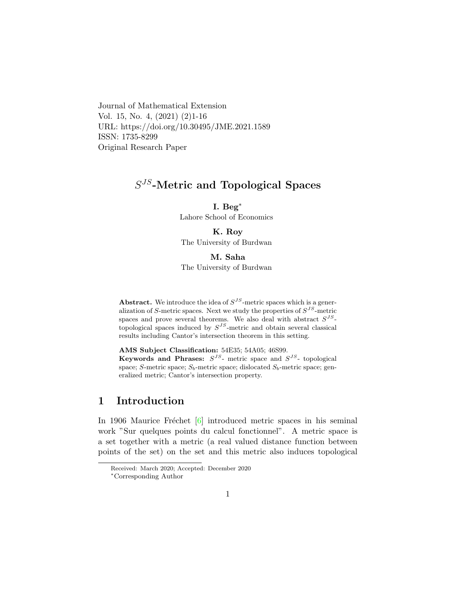Journal of Mathematical Extension Vol. 15, No. 4, (2021) (2)1-16 URL: https://doi.org/10.30495/JME.2021.1589 ISSN: 1735-8299 Original Research Paper

# $S^{JS}$ -Metric and Topological Spaces

### I. Beg[∗](#page-0-0)

Lahore School of Economics

### K. Roy

The University of Burdwan

#### M. Saha

#### The University of Burdwan

**Abstract.** We introduce the idea of  $S^{JS}$ -metric spaces which is a generalization of S-metric spaces. Next we study the properties of  $S^{JS}$ -metric spaces and prove several theorems. We also deal with abstract  $S^{JS}$ topological spaces induced by  $S^{JS}$ -metric and obtain several classical results including Cantor's intersection theorem in this setting.

AMS Subject Classification: 54E35; 54A05; 46S99.

Keywords and Phrases:  $S^{JS}$ - metric space and  $S^{JS}$ - topological space; S-metric space;  $S_b$ -metric space; dislocated  $S_b$ -metric space; generalized metric; Cantor's intersection property.

## 1 Introduction

In 1906 Maurice Fréchet  $\begin{bmatrix} 6 \end{bmatrix}$  introduced metric spaces in his seminal work "Sur quelques points du calcul fonctionnel". A metric space is a set together with a metric (a real valued distance function between points of the set) on the set and this metric also induces topological

Received: March 2020; Accepted: December 2020

<span id="page-0-0"></span><sup>∗</sup>Corresponding Author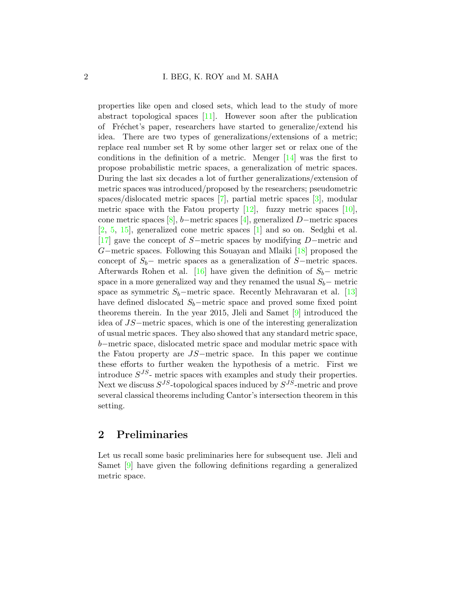properties like open and closed sets, which lead to the study of more abstract topological spaces [\[11\]](#page-14-0). However soon after the publication of Fréchet's paper, researchers have started to generalize/extend his idea. There are two types of generalizations/extensions of a metric; replace real number set R by some other larger set or relax one of the conditions in the definition of a metric. Menger [\[14\]](#page-14-1) was the first to propose probabilistic metric spaces, a generalization of metric spaces. During the last six decades a lot of further generalizations/extension of metric spaces was introduced/proposed by the researchers; pseudometric spaces/dislocated metric spaces [\[7\]](#page-14-2), partial metric spaces [\[3\]](#page-13-1), modular metric space with the Fatou property  $[12]$ , fuzzy metric spaces  $[10]$ , cone metric spaces [\[8\]](#page-14-5), b−metric spaces [\[4\]](#page-13-2), generalized D−metric spaces [\[2,](#page-13-3) [5,](#page-13-4) [15\]](#page-14-6), generalized cone metric spaces [\[1\]](#page-13-5) and so on. Sedghi et al. [\[17\]](#page-14-7) gave the concept of S−metric spaces by modifying D−metric and G−metric spaces. Following this Souayan and Mlaiki [\[18\]](#page-14-8) proposed the concept of  $S_b$ − metric spaces as a generalization of S−metric spaces. Afterwards Rohen et al. [\[16\]](#page-14-9) have given the definition of  $S_b$ − metric space in a more generalized way and they renamed the usual  $S_b$  – metric space as symmetric  $S_b$ –metric space. Recently Mehravaran et al. [\[13\]](#page-14-10) have defined dislocated  $S_b$ –metric space and proved some fixed point theorems therein. In the year 2015, Jleli and Samet [\[9\]](#page-14-11) introduced the idea of JS−metric spaces, which is one of the interesting generalization of usual metric spaces. They also showed that any standard metric space, b−metric space, dislocated metric space and modular metric space with the Fatou property are JS−metric space. In this paper we continue these efforts to further weaken the hypothesis of a metric. First we introduce  $S^{JS}$ - metric spaces with examples and study their properties. Next we discuss  $S^{JS}$ -topological spaces induced by  $S^{JS}$ -metric and prove several classical theorems including Cantor's intersection theorem in this setting.

## 2 Preliminaries

Let us recall some basic preliminaries here for subsequent use. Jleli and Samet [\[9\]](#page-14-11) have given the following definitions regarding a generalized metric space.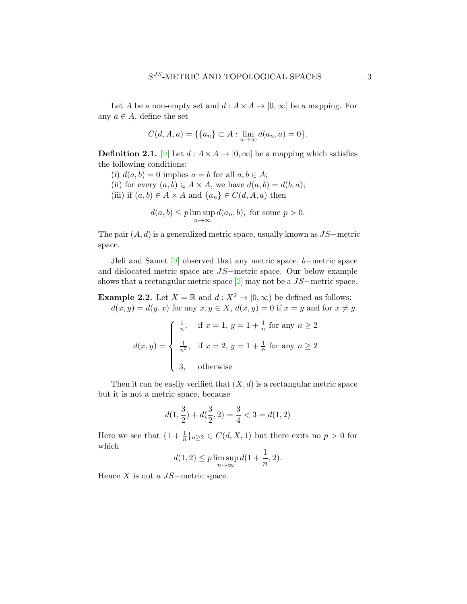Let A be a non-empty set and  $d : A \times A \rightarrow [0, \infty]$  be a mapping. For any  $a \in A$ , define the set

$$
C(d, A, a) = \{ \{a_n\} \subset A : \lim_{n \to \infty} d(a_n, a) = 0 \}.
$$

**Definition 2.1.** [\[9\]](#page-14-11) Let  $d : A \times A \rightarrow [0, \infty]$  be a mapping which satisfies the following conditions:

- (i)  $d(a, b) = 0$  implies  $a = b$  for all  $a, b \in A$ ;
- (ii) for every  $(a, b) \in A \times A$ , we have  $d(a, b) = d(b, a)$ ;
- (iii) if  $(a, b) \in A \times A$  and  $\{a_n\} \in C(d, A, a)$  then

$$
d(a,b) \le p \limsup_{n \to \infty} d(a_n, b), \text{ for some } p > 0.
$$

The pair  $(A, d)$  is a generalized metric space, usually known as  $JS$ -metric space.

Jleli and Samet [\[9\]](#page-14-11) observed that any metric space, b−metric space and dislocated metric space are JS−metric space. Our below example shows that a rectangular metric space  $[2]$  may not be a  $JS$ —metric space.

**Example 2.2.** Let  $X = \mathbb{R}$  and  $d : X^2 \to [0, \infty)$  be defined as follows:  $d(x, y) = d(y, x)$  for any  $x, y \in X$ ,  $d(x, y) = 0$  if  $x = y$  and for  $x \neq y$ .

$$
d(x,y) = \begin{cases} \frac{1}{n}, & \text{if } x = 1, y = 1 + \frac{1}{n} \text{ for any } n \ge 2 \\ \frac{1}{n^2}, & \text{if } x = 2, y = 1 + \frac{1}{n} \text{ for any } n \ge 2 \\ 3, & \text{otherwise} \end{cases}
$$

Then it can be easily verified that  $(X, d)$  is a rectangular metric space but it is not a metric space, because

$$
d(1,\frac{3}{2})+d(\frac{3}{2},2)=\frac{3}{4}<3=d(1,2)
$$

Here we see that  $\{1+\frac{1}{n}\}_{n\geq 2} \in C(d, X, 1)$  but there exits no  $p > 0$  for which

$$
d(1,2) \le p \limsup_{n \to \infty} d(1 + \frac{1}{n}, 2).
$$

Hence  $X$  is not a  $JS$ -metric space.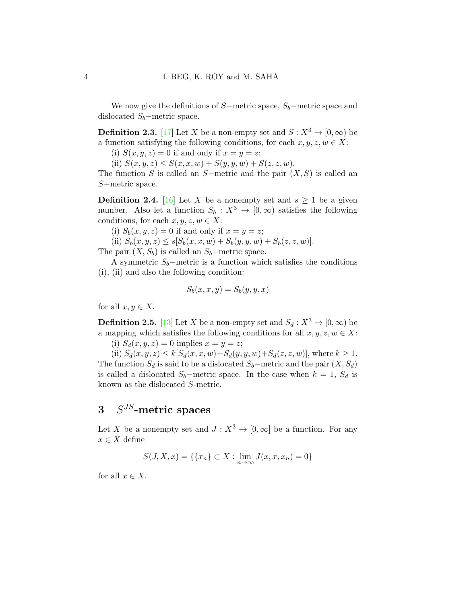We now give the definitions of  $S-$ metric space,  $S<sub>b</sub>$ —metric space and dislocated  $S_b$ –metric space.

<span id="page-3-0"></span>**Definition 2.3.** [\[17\]](#page-14-7) Let X be a non-empty set and  $S: X^3 \to [0, \infty)$  be a function satisfying the following conditions, for each  $x, y, z, w \in X$ :

(i)  $S(x, y, z) = 0$  if and only if  $x = y = z$ ;

(ii)  $S(x, y, z) \leq S(x, x, w) + S(y, y, w) + S(z, z, w).$ 

The function S is called an S−metric and the pair  $(X, S)$  is called an S−metric space.

<span id="page-3-1"></span>**Definition 2.4.** [\[16\]](#page-14-9) Let X be a nonempty set and  $s \geq 1$  be a given number. Also let a function  $S_b : X^3 \to [0, \infty)$  satisfies the following conditions, for each  $x, y, z, w \in X$ :

(i)  $S_b(x, y, z) = 0$  if and only if  $x = y = z$ ;

(ii)  $S_b(x, y, z) \leq s[S_b(x, x, w) + S_b(y, y, w) + S_b(z, z, w)].$ 

The pair  $(X, S_b)$  is called an  $S_b$ −metric space.

A symmetric  $S_b$ –metric is a function which satisfies the conditions (i), (ii) and also the following condition:

$$
S_b(x, x, y) = S_b(y, y, x)
$$

for all  $x, y \in X$ .

<span id="page-3-2"></span>**Definition 2.5.** [\[13\]](#page-14-10) Let X be a non-empty set and  $S_d : X^3 \to [0, \infty)$  be a mapping which satisfies the following conditions for all  $x, y, z, w \in X$ :

(i)  $S_d(x, y, z) = 0$  implies  $x = y = z$ ;

(ii)  $S_d(x, y, z) \le k[S_d(x, x, w) + S_d(y, y, w) + S_d(z, z, w)]$ , where  $k \ge 1$ . The function  $S_d$  is said to be a dislocated  $S_b$ –metric and the pair  $(X, S_d)$ is called a dislocated  $S_b$ –metric space. In the case when  $k = 1$ ,  $S_d$  is known as the dislocated S-metric.

# $3 \quad S^{JS}$ -metric spaces

Let X be a nonempty set and  $J: X^3 \to [0, \infty]$  be a function. For any  $x \in X$  define

 $S(J, X, x) = \{ \{x_n\} \subset X : \lim_{n \to \infty} J(x, x, x_n) = 0 \}$ 

for all  $x \in X$ .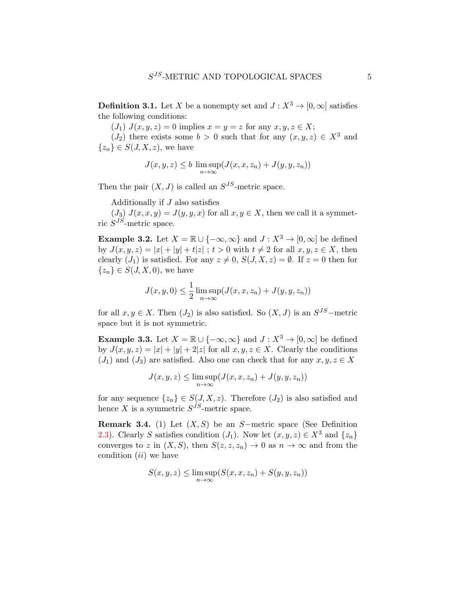**Definition 3.1.** Let X be a nonempty set and  $J: X^3 \to [0, \infty]$  satisfies the following conditions:

 $(J_1)$   $J(x, y, z) = 0$  implies  $x = y = z$  for any  $x, y, z \in X$ ;

 $(J_2)$  there exists some  $b > 0$  such that for any  $(x, y, z) \in X^3$  and  ${z_n} \in S(J, X, z)$ , we have

$$
J(x, y, z) \le b \limsup_{n \to \infty} (J(x, x, z_n) + J(y, y, z_n))
$$

Then the pair  $(X, J)$  is called an  $S^{JS}$ -metric space.

Additionally if J also satisfies

 $(J_3)$   $J(x, x, y) = J(y, y, x)$  for all  $x, y \in X$ , then we call it a symmetric  $S^{JS}$ -metric space.

<span id="page-4-0"></span>**Example 3.2.** Let  $X = \mathbb{R} \cup \{-\infty, \infty\}$  and  $J : X^3 \to [0, \infty]$  be defined by  $J(x, y, z) = |x| + |y| + t|z|$ ;  $t > 0$  with  $t \neq 2$  for all  $x, y, z \in X$ , then clearly  $(J_1)$  is satisfied. For any  $z \neq 0$ ,  $S(J, X, z) = \emptyset$ . If  $z = 0$  then for  ${z_n} \in S(J, X, 0)$ , we have

$$
J(x, y, 0) \le \frac{1}{2} \limsup_{n \to \infty} (J(x, x, z_n) + J(y, y, z_n))
$$

for all  $x, y \in X$ . Then  $(J_2)$  is also satisfied. So  $(X, J)$  is an  $S^{JS}$ -metric space but it is not symmetric.

<span id="page-4-1"></span>**Example 3.3.** Let  $X = \mathbb{R} \cup \{-\infty, \infty\}$  and  $J : X^3 \to [0, \infty]$  be defined by  $J(x, y, z) = |x| + |y| + 2|z|$  for all  $x, y, z \in X$ . Clearly the conditions  $(J_1)$  and  $(J_3)$  are satisfied. Also one can check that for any  $x, y, z \in X$ 

$$
J(x, y, z) \le \limsup_{n \to \infty} (J(x, x, z_n) + J(y, y, z_n))
$$

for any sequence  $\{z_n\} \in S(J, X, z)$ . Therefore  $(J_2)$  is also satisfied and hence X is a symmetric  $S^{JS}$ -metric space.

Remark 3.4. (1) Let  $(X, S)$  be an S−metric space (See Definition [2.3\)](#page-3-0). Clearly S satisfies condition  $(J_1)$ . Now let  $(x, y, z) \in X^3$  and  $\{z_n\}$ converges to z in  $(X, S)$ , then  $S(z, z, z_n) \to 0$  as  $n \to \infty$  and from the condition  $(ii)$  we have

$$
S(x, y, z) \le \limsup_{n \to \infty} (S(x, x, z_n) + S(y, y, z_n))
$$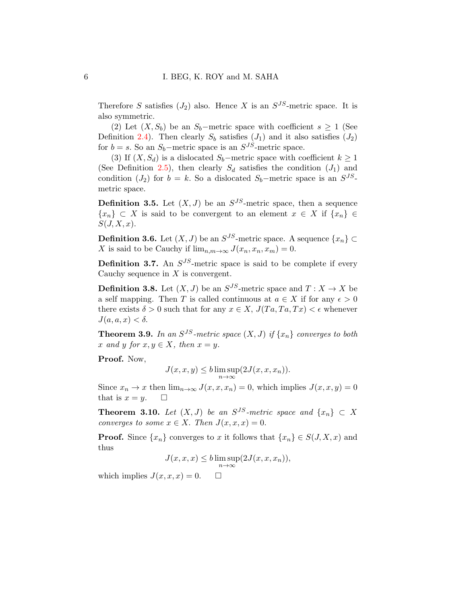Therefore S satisfies  $(J_2)$  also. Hence X is an  $S^{JS}$ -metric space. It is also symmetric.

(2) Let  $(X, S_b)$  be an  $S_b$ –metric space with coefficient  $s \geq 1$  (See Definition [2.4\)](#page-3-1). Then clearly  $S_b$  satisfies  $(J_1)$  and it also satisfies  $(J_2)$ for  $b = s$ . So an  $S_b$ -metric space is an  $S^{JS}$ -metric space.

(3) If  $(X, S_d)$  is a dislocated  $S_b$ –metric space with coefficient  $k \geq 1$ (See Definition [2.5\)](#page-3-2), then clearly  $S_d$  satisfies the condition  $(J_1)$  and condition  $(J_2)$  for  $b = k$ . So a dislocated  $S_b$ -metric space is an  $S^{JS}$ metric space.

**Definition 3.5.** Let  $(X, J)$  be an  $S^{JS}$ -metric space, then a sequence  ${x_n} \subset X$  is said to be convergent to an element  $x \in X$  if  ${x_n} \in$  $S(J, X, x)$ .

**Definition 3.6.** Let  $(X, J)$  be an  $S^{JS}$ -metric space. A sequence  $\{x_n\} \subset$ X is said to be Cauchy if  $\lim_{n,m\to\infty} J(x_n, x_n, x_m) = 0$ .

**Definition 3.7.** An  $S^{JS}$ -metric space is said to be complete if every Cauchy sequence in  $X$  is convergent.

**Definition 3.8.** Let  $(X, J)$  be an  $S^{JS}$ -metric space and  $T: X \to X$  be a self mapping. Then T is called continuous at  $a \in X$  if for any  $\epsilon > 0$ there exists  $\delta > 0$  such that for any  $x \in X$ ,  $J(T_a, Ta, Tx) < \epsilon$  whenever  $J(a, a, x) < \delta$ .

**Theorem 3.9.** In an  $S^{JS}$ -metric space  $(X, J)$  if  $\{x_n\}$  converges to both x and y for  $x, y \in X$ , then  $x = y$ .

Proof. Now,

$$
J(x, x, y) \le b \limsup_{n \to \infty} (2J(x, x, x_n)).
$$

Since  $x_n \to x$  then  $\lim_{n\to\infty} J(x, x, x_n) = 0$ , which implies  $J(x, x, y) = 0$ that is  $x = y$ .  $\Box$ 

**Theorem 3.10.** Let  $(X, J)$  be an  $S^{JS}$ -metric space and  $\{x_n\} \subset X$ converges to some  $x \in X$ . Then  $J(x, x, x) = 0$ .

**Proof.** Since  $\{x_n\}$  converges to x it follows that  $\{x_n\} \in S(J, X, x)$  and thus

$$
J(x, x, x) \le b \limsup_{n \to \infty} (2J(x, x, x_n)),
$$

which implies  $J(x, x, x) = 0$ .  $\Box$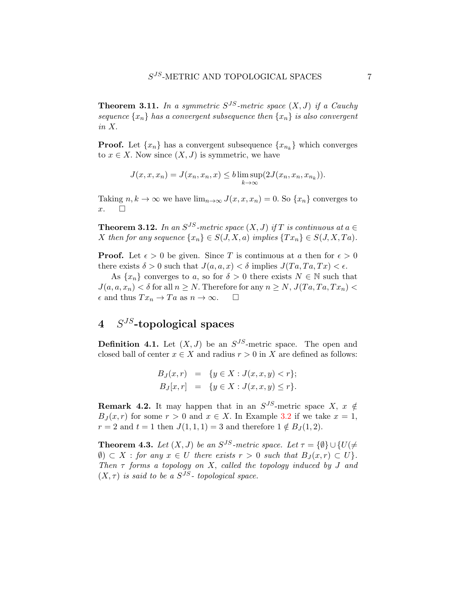**Theorem 3.11.** In a symmetric  $S^{JS}$ -metric space  $(X, J)$  if a Cauchy sequence  $\{x_n\}$  has a convergent subsequence then  $\{x_n\}$  is also convergent in X.

**Proof.** Let  $\{x_n\}$  has a convergent subsequence  $\{x_{n_k}\}$  which converges to  $x \in X$ . Now since  $(X, J)$  is symmetric, we have

$$
J(x, x, x_n) = J(x_n, x_n, x) \leq b \limsup_{k \to \infty} (2J(x_n, x_n, x_{n_k})).
$$

Taking  $n, k \to \infty$  we have  $\lim_{n \to \infty} J(x, x, x_n) = 0$ . So  $\{x_n\}$  converges to  $x.$   $\Box$ 

**Theorem 3.12.** In an  $S^{JS}$ -metric space  $(X, J)$  if T is continuous at  $a \in$ X then for any sequence  $\{x_n\} \in S(J, X, a)$  implies  $\{Tx_n\} \in S(J, X, Ta)$ .

**Proof.** Let  $\epsilon > 0$  be given. Since T is continuous at a then for  $\epsilon > 0$ there exists  $\delta > 0$  such that  $J(a, a, x) < \delta$  implies  $J(Ta, Ta, Tx) < \epsilon$ .

As  $\{x_n\}$  converges to a, so for  $\delta > 0$  there exists  $N \in \mathbb{N}$  such that  $J(a, a, x_n) < \delta$  for all  $n \geq N$ . Therefore for any  $n \geq N$ ,  $J(Ta, Ta, Tx_n) <$  $\epsilon$  and thus  $Tx_n \to Ta$  as  $n \to \infty$ .  $\Box$ 

# $4 \quad S^{JS}$ -topological spaces

**Definition 4.1.** Let  $(X, J)$  be an  $S^{JS}$ -metric space. The open and closed ball of center  $x \in X$  and radius  $r > 0$  in X are defined as follows:

<span id="page-6-1"></span>
$$
B_J(x,r) = \{ y \in X : J(x,x,y) < r \};
$$
\n
$$
B_J[x,r] = \{ y \in X : J(x,x,y) \le r \}.
$$

**Remark 4.2.** It may happen that in an  $S^{JS}$ -metric space  $X, x \notin$  $B_J(x,r)$  for some  $r > 0$  and  $x \in X$ . In Example [3.2](#page-4-0) if we take  $x = 1$ ,  $r = 2$  and  $t = 1$  then  $J(1, 1, 1) = 3$  and therefore  $1 \notin B_J(1, 2)$ .

<span id="page-6-0"></span>**Theorem 4.3.** Let  $(X, J)$  be an  $S^{JS}$ -metric space. Let  $\tau = {\emptyset} \cup {U} (\neq$  $\emptyset$ )  $\subset X$ : for any  $x \in U$  there exists  $r > 0$  such that  $B_J(x,r) \subset U$ . Then  $\tau$  forms a topology on X, called the topology induced by J and  $(X, \tau)$  is said to be a  $S^{JS}$ - topological space.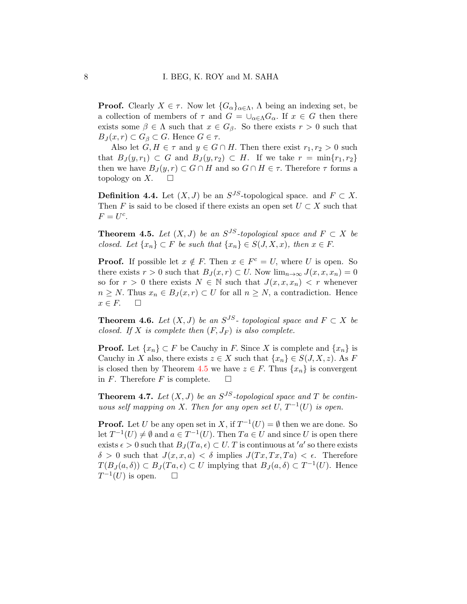**Proof.** Clearly  $X \in \tau$ . Now let  $\{G_{\alpha}\}_{{\alpha \in \Lambda}}, \Lambda$  being an indexing set, be a collection of members of  $\tau$  and  $G = \bigcup_{\alpha \in \Lambda} G_{\alpha}$ . If  $x \in G$  then there exists some  $\beta \in \Lambda$  such that  $x \in G_{\beta}$ . So there exists  $r > 0$  such that  $B_J(x,r) \subset G_\beta \subset G$ . Hence  $G \in \tau$ .

Also let  $G, H \in \tau$  and  $y \in G \cap H$ . Then there exist  $r_1, r_2 > 0$  such that  $B_J(y,r_1) \subset G$  and  $B_J(y,r_2) \subset H$ . If we take  $r = \min\{r_1,r_2\}$ then we have  $B_J(y, r) \subset G \cap H$  and so  $G \cap H \in \tau$ . Therefore  $\tau$  forms a topology on X.  $\square$ 

**Definition 4.4.** Let  $(X, J)$  be an  $S^{JS}$ -topological space. and  $F \subset X$ . Then F is said to be closed if there exists an open set  $U \subset X$  such that  $F=U^c$ .

<span id="page-7-0"></span>**Theorem 4.5.** Let  $(X, J)$  be an  $S^{JS}$ -topological space and  $F \subset X$  be closed. Let  $\{x_n\} \subset F$  be such that  $\{x_n\} \in S(J, X, x)$ , then  $x \in F$ .

**Proof.** If possible let  $x \notin F$ . Then  $x \in F^c = U$ , where U is open. So there exists  $r > 0$  such that  $B_J(x,r) \subset U$ . Now  $\lim_{n\to\infty} J(x,x,x_n) = 0$ so for  $r > 0$  there exists  $N \in \mathbb{N}$  such that  $J(x, x, x_n) < r$  whenever  $n \geq N$ . Thus  $x_n \in B_J(x,r) \subset U$  for all  $n \geq N$ , a contradiction. Hence  $x \in F$ .  $\Box$ 

**Theorem 4.6.** Let  $(X, J)$  be an  $S^{JS}$ - topological space and  $F \subset X$  be closed. If X is complete then  $(F, J_F)$  is also complete.

**Proof.** Let  $\{x_n\} \subset F$  be Cauchy in F. Since X is complete and  $\{x_n\}$  is Cauchy in X also, there exists  $z \in X$  such that  $\{x_n\} \in S(J, X, z)$ . As F is closed then by Theorem [4.5](#page-7-0) we have  $z \in F$ . Thus  $\{x_n\}$  is convergent in F. Therefore F is complete.  $\square$ 

**Theorem 4.7.** Let  $(X, J)$  be an  $S^{JS}$ -topological space and T be continuous self mapping on X. Then for any open set U,  $T^{-1}(U)$  is open.

**Proof.** Let U be any open set in X, if  $T^{-1}(U) = \emptyset$  then we are done. So let  $T^{-1}(U) \neq \emptyset$  and  $a \in T^{-1}(U)$ . Then  $Ta \in U$  and since U is open there exists  $\epsilon > 0$  such that  $B_J(Ta, \epsilon) \subset U$ . T is continuous at 'a' so there exists  $\delta > 0$  such that  $J(x, x, a) < \delta$  implies  $J(Tx, Tx, Ta) < \epsilon$ . Therefore  $T(B_J(a, \delta)) \subset B_J(Ta, \epsilon) \subset U$  implying that  $B_J(a, \delta) \subset T^{-1}(U)$ . Hence  $T^{-1}(U)$  is open.  $\square$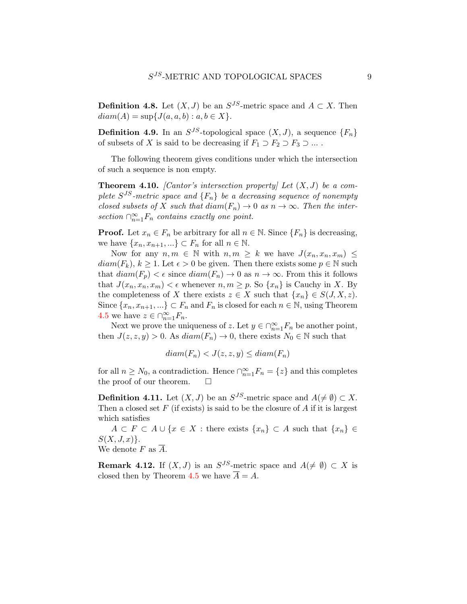**Definition 4.8.** Let  $(X, J)$  be an  $S^{JS}$ -metric space and  $A \subset X$ . Then  $diam(A) = sup{J(a, a, b) : a, b \in X}.$ 

**Definition 4.9.** In an  $S^{JS}$ -topological space  $(X, J)$ , a sequence  $\{F_n\}$ of subsets of X is said to be decreasing if  $F_1 \supset F_2 \supset F_3 \supset \dots$ .

The following theorem gives conditions under which the intersection of such a sequence is non empty.

<span id="page-8-0"></span>**Theorem 4.10.** [Cantor's intersection property] Let  $(X, J)$  be a complete  $S^{JS}$ -metric space and  $\{F_n\}$  be a decreasing sequence of nonempty closed subsets of X such that  $diam(F_n) \to 0$  as  $n \to \infty$ . Then the intersection  $\bigcap_{n=1}^{\infty} F_n$  contains exactly one point.

**Proof.** Let  $x_n \in F_n$  be arbitrary for all  $n \in \mathbb{N}$ . Since  $\{F_n\}$  is decreasing, we have  $\{x_n, x_{n+1}, ...\} \subset F_n$  for all  $n \in \mathbb{N}$ .

Now for any  $n, m \in \mathbb{N}$  with  $n, m \geq k$  we have  $J(x_n, x_n, x_m) \leq$  $diam(F_k), k \geq 1$ . Let  $\epsilon > 0$  be given. Then there exists some  $p \in \mathbb{N}$  such that  $diam(F_p) < \epsilon$  since  $diam(F_n) \to 0$  as  $n \to \infty$ . From this it follows that  $J(x_n, x_n, x_m) < \epsilon$  whenever  $n, m \geq p$ . So  $\{x_n\}$  is Cauchy in X. By the completeness of X there exists  $z \in X$  such that  $\{x_n\} \in S(J, X, z)$ . Since  $\{x_n, x_{n+1}, ...\} \subset F_n$  and  $F_n$  is closed for each  $n \in \mathbb{N}$ , using Theorem [4.5](#page-7-0) we have  $z \in \bigcap_{n=1}^{\infty} F_n$ .

Next we prove the uniqueness of z. Let  $y \in \bigcap_{n=1}^{\infty} F_n$  be another point, then  $J(z, z, y) > 0$ . As  $diam(F_n) \to 0$ , there exists  $N_0 \in \mathbb{N}$  such that

 $diam(F_n) < J(z, z, y) \leq diam(F_n)$ 

for all  $n \ge N_0$ , a contradiction. Hence  $\bigcap_{n=1}^{\infty} F_n = \{z\}$  and this completes the proof of our theorem.  $\Box$ 

**Definition 4.11.** Let  $(X, J)$  be an  $S^{JS}$ -metric space and  $A(\neq \emptyset) \subset X$ . Then a closed set  $F$  (if exists) is said to be the closure of  $A$  if it is largest which satisfies

 $A \subset F \subset A \cup \{x \in X : \text{there exists } \{x_n\} \subset A \text{ such that } \{x_n\} \in$  $S(X, J, x)$ .

We denote F as  $\overline{A}$ .

**Remark 4.12.** If  $(X, J)$  is an  $S^{JS}$ -metric space and  $A(\neq \emptyset) \subset X$  is closed then by Theorem [4.5](#page-7-0) we have  $\overline{A} = A$ .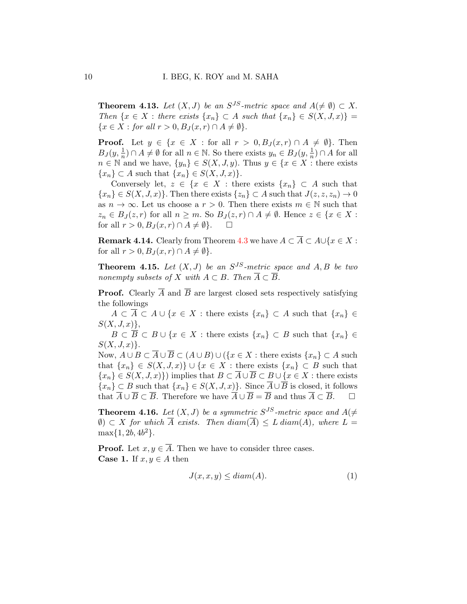<span id="page-9-2"></span>**Theorem 4.13.** Let  $(X, J)$  be an  $S^{JS}$ -metric space and  $A(\neq \emptyset) \subset X$ . Then  $\{x \in X : \text{there exists } \{x_n\} \subset A \text{ such that } \{x_n\} \in S(X, J, x)\}$  $\{x \in X : \text{for all } r > 0, B_J(x,r) \cap A \neq \emptyset\}.$ 

**Proof.** Let  $y \in \{x \in X : \text{for all } r > 0, B_J(x,r) \cap A \neq \emptyset\}$ . Then  $B_J(y, \frac{1}{n}) \cap A \neq \emptyset$  for all  $n \in \mathbb{N}$ . So there exists  $y_n \in B_J(y, \frac{1}{n}) \cap A$  for all  $n \in \mathbb{N}$  and we have,  $\{y_n\} \in S(X, J, y)$ . Thus  $y \in \{x \in X : \text{there exists}\}$  ${x_n} \subset A$  such that  ${x_n} \in S(X, J, x)$ .

Conversely let,  $z \in \{x \in X : \text{there exists } \{x_n\} \subset A \text{ such that }$  ${x_n} \in S(X, J, x)$ . Then there exists  ${z_n} \subset A$  such that  $J(z, z, z_n) \to 0$ as  $n \to \infty$ . Let us choose a  $r > 0$ . Then there exists  $m \in \mathbb{N}$  such that  $z_n \in B_J(z,r)$  for all  $n \geq m$ . So  $B_J(z,r) \cap A \neq \emptyset$ . Hence  $z \in \{x \in X:$ for all  $r > 0$ ,  $B_J(x,r) \cap A \neq \emptyset$ .  $\square$ 

**Remark 4.14.** Clearly from Theorem [4.3](#page-6-0) we have  $A \subset \overline{A} \subset A \cup \{x \in X :$ for all  $r > 0$ ,  $B_J(x, r) \cap A \neq \emptyset$ .

<span id="page-9-0"></span>**Theorem 4.15.** Let  $(X, J)$  be an  $S^{JS}$ -metric space and  $A, B$  be two nonempty subsets of X with  $A \subset B$ . Then  $\overline{A} \subset \overline{B}$ .

**Proof.** Clearly  $\overline{A}$  and  $\overline{B}$  are largest closed sets respectively satisfying the followings

 $A \subset \overline{A} \subset A \cup \{x \in X : \text{there exists } \{x_n\} \subset A \text{ such that } \{x_n\} \in$  $S(X, J, x)$ ,

 $B \subset \overline{B} \subset B \cup \{x \in X : \text{there exists } \{x_n\} \subset B \text{ such that } \{x_n\} \in$  $S(X, J, x)$ .

Now,  $A \cup B \subset \overline{A} \cup \overline{B} \subset (A \cup B) \cup (\{x \in X : \text{there exists } \{x_n\} \subset A \text{ such})$ that  $\{x_n\} \in S(X, J, x)\} \cup \{x \in X : \text{there exists } \{x_n\} \subset B \text{ such that }$  ${x_n} \in S(X, J, x)$  implies that  $B \subset \overline{A} \cup \overline{B} \subset B \cup \{x \in X : \text{there exists}\}$  ${x_n} \subset B$  such that  ${x_n} \in S(X, J, x)$ . Since  $\overline{A} \cup \overline{B}$  is closed, it follows that  $\overline{A} \cup \overline{B} \subset \overline{B}$ . Therefore we have  $\overline{A} \cup \overline{B} = \overline{B}$  and thus  $\overline{A} \subset \overline{B}$ .

<span id="page-9-1"></span>**Theorem 4.16.** Let  $(X, J)$  be a symmetric  $S^{JS}$ -metric space and  $A(\neq$ (0) ⊂ X for which  $\overline{A}$  exists. Then  $diam(\overline{A}) \leq L \, diam(A)$ , where  $L =$  $\max\{1, 2b, 4b^2\}.$ 

**Proof.** Let  $x, y \in \overline{A}$ . Then we have to consider three cases. **Case 1.** If  $x, y \in A$  then

$$
J(x, x, y) \leq diam(A). \tag{1}
$$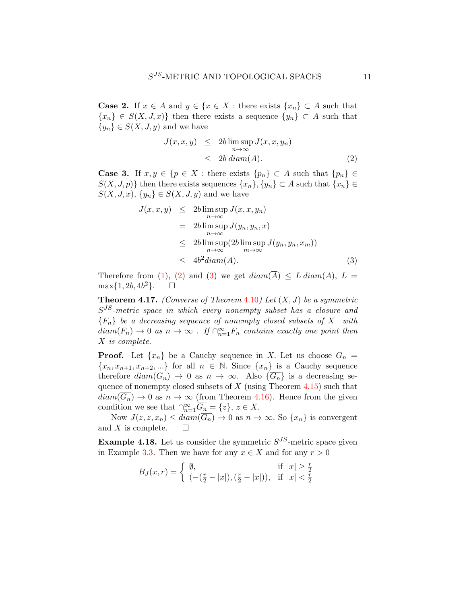**Case 2.** If  $x \in A$  and  $y \in \{x \in X : \text{there exists } \{x_n\} \subset A \text{ such that }$  ${x_n} \in S(X, J, x)$  then there exists a sequence  ${y_n} \subset A$  such that  ${y_n} \in S(X, J, y)$  and we have

<span id="page-10-0"></span>
$$
J(x, x, y) \leq 2b \limsup_{n \to \infty} J(x, x, y_n)
$$
  

$$
\leq 2b \operatorname{diam}(A). \tag{2}
$$

**Case 3.** If  $x, y \in \{p \in X : \text{there exists } \{p_n\} \subset A \text{ such that } \{p_n\} \in \mathbb{R}$  $S(X, J, p)$ } then there exists sequences  $\{x_n\}, \{y_n\} \subset A$  such that  $\{x_n\} \in$  $S(X, J, x), \{y_n\} \in S(X, J, y)$  and we have

<span id="page-10-1"></span>
$$
J(x, x, y) \leq 2b \limsup_{n \to \infty} J(x, x, y_n)
$$
  
=  $2b \limsup_{n \to \infty} J(y_n, y_n, x)$   
 $\leq 2b \limsup_{n \to \infty} (2b \limsup_{m \to \infty} J(y_n, y_n, x_m))$   
 $\leq 4b^2 diam(A).$  (3)

Therefore from [\(1\)](#page-6-1), [\(2\)](#page-10-0) and [\(3\)](#page-10-1) we get  $diam(\overline{A}) \leq L diam(A), L =$  $\max\{1, 2b, 4b^2\}.$   $\Box$ 

<span id="page-10-2"></span>**Theorem 4.17.** (Converse of Theorem 4.[10](#page-8-0)) Let  $(X, J)$  be a symmetric  $S^{JS}$ -metric space in which every nonempty subset has a closure and  ${F_n}$  be a decreasing sequence of nonempty closed subsets of X with  $diam(F_n) \to 0$  as  $n \to \infty$  . If  $\bigcap_{n=1}^{\infty} F_n$  contains exactly one point then X is complete.

**Proof.** Let  $\{x_n\}$  be a Cauchy sequence in X. Let us choose  $G_n$  =  ${x_n, x_{n+1}, x_{n+2}, \ldots}$  for all  $n \in \mathbb{N}$ . Since  ${x_n}$  is a Cauchy sequence therefore  $diam(G_n) \to 0$  as  $n \to \infty$ . Also  $\{G_n\}$  is a decreasing sequence of nonempty closed subsets of  $X$  (using Theorem [4.15\)](#page-9-0) such that  $diam(G_n) \to 0$  as  $n \to \infty$  (from Theorem [4.16\)](#page-9-1). Hence from the given condition we see that  $\bigcap_{n=1}^{\infty} \overline{G_n} = \{z\}, z \in X$ .

Now  $J(z, z, x_n) \leq diam(\overline{G_n}) \to 0$  as  $n \to \infty$ . So  $\{x_n\}$  is convergent and X is complete.  $\square$ 

<span id="page-10-3"></span>**Example 4.18.** Let us consider the symmetric  $S^{JS}$ -metric space given in Example [3.3.](#page-4-1) Then we have for any  $x \in X$  and for any  $r > 0$ 

$$
B_J(x,r) = \begin{cases} \emptyset, & \text{if } |x| \ge \frac{r}{2} \\ (-(\frac{r}{2} - |x|), (\frac{r}{2} - |x|)), & \text{if } |x| < \frac{r}{2} \end{cases}
$$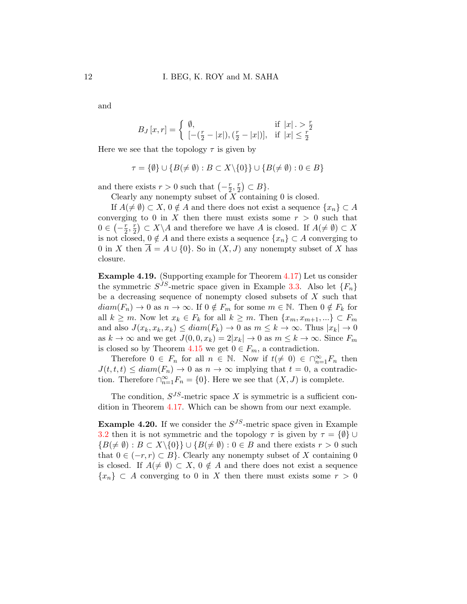and

$$
B_J[x,r] = \begin{cases} \emptyset, & \text{if } |x| > \frac{r}{2} \\ [-(\frac{r}{2} - |x|), (\frac{r}{2} - |x|)], & \text{if } |x| \le \frac{r}{2} \end{cases}
$$

Here we see that the topology  $\tau$  is given by

$$
\tau = \{\emptyset\} \cup \{B(\neq \emptyset) : B \subset X \setminus \{0\}\} \cup \{B(\neq \emptyset) : 0 \in B\}
$$

and there exists  $r > 0$  such that  $\left(-\frac{r}{2}\right)$  $rac{r}{2}, \frac{r}{2}$  $\frac{r}{2}$   $\subset$   $B$  }.

Clearly any nonempty subset of  $X$  containing  $0$  is closed.

If  $A(\neq \emptyset) \subset X$ ,  $0 \notin A$  and there does not exist a sequence  $\{x_n\} \subset A$ converging to 0 in X then there must exists some  $r > 0$  such that  $0 \in \left(-\frac{r}{2}\right)$  $rac{r}{2}, \frac{r}{2}$  $\binom{r}{2} \subset X \backslash A$  and therefore we have A is closed. If  $A(\neq \emptyset) \subset X$ is not closed,  $0 \notin A$  and there exists a sequence  $\{x_n\} \subset A$  converging to 0 in X then  $\overline{A} = A \cup \{0\}$ . So in  $(X, J)$  any nonempty subset of X has closure.

Example 4.19. (Supporting example for Theorem [4.17\)](#page-10-2) Let us consider the symmetric  $S^{JS}$ -metric space given in Example [3.3.](#page-4-1) Also let  $\{F_n\}$ be a decreasing sequence of nonempty closed subsets of  $X$  such that  $diam(F_n) \to 0$  as  $n \to \infty$ . If  $0 \notin F_m$  for some  $m \in \mathbb{N}$ . Then  $0 \notin F_k$  for all  $k \geq m$ . Now let  $x_k \in F_k$  for all  $k \geq m$ . Then  $\{x_m, x_{m+1}, ...\} \subset F_m$ and also  $J(x_k, x_k, x_k) \leq diam(F_k) \to 0$  as  $m \leq k \to \infty$ . Thus  $|x_k| \to 0$ as  $k \to \infty$  and we get  $J(0, 0, x_k) = 2|x_k| \to 0$  as  $m \leq k \to \infty$ . Since  $F_m$ is closed so by Theorem [4.15](#page-9-0) we get  $0 \in F_m$ , a contradiction.

Therefore  $0 \in F_n$  for all  $n \in \mathbb{N}$ . Now if  $t \neq 0 \in \bigcap_{n=1}^{\infty} F_n$  then  $J(t, t, t) \leq diam(F_n) \to 0$  as  $n \to \infty$  implying that  $t = 0$ , a contradiction. Therefore  $\bigcap_{n=1}^{\infty} F_n = \{0\}$ . Here we see that  $(X, J)$  is complete.

The condition,  $S^{JS}$ -metric space X is symmetric is a sufficient condition in Theorem [4.17.](#page-10-2) Which can be shown from our next example.

**Example 4.20.** If we consider the  $S^{JS}$ -metric space given in Example [3.2](#page-4-0) then it is not symmetric and the topology  $\tau$  is given by  $\tau = \{\emptyset\} \cup$  ${B(\neq \emptyset): B \subset X \setminus \{0\}\}\cup {B(\neq \emptyset): 0 \in B \text{ and there exists } r > 0 \text{ such}}$ that  $0 \in (-r, r) \subset B$ . Clearly any nonempty subset of X containing 0 is closed. If  $A(\neq \emptyset) \subset X$ ,  $0 \notin A$  and there does not exist a sequence  ${x_n} \subset A$  converging to 0 in X then there must exists some  $r > 0$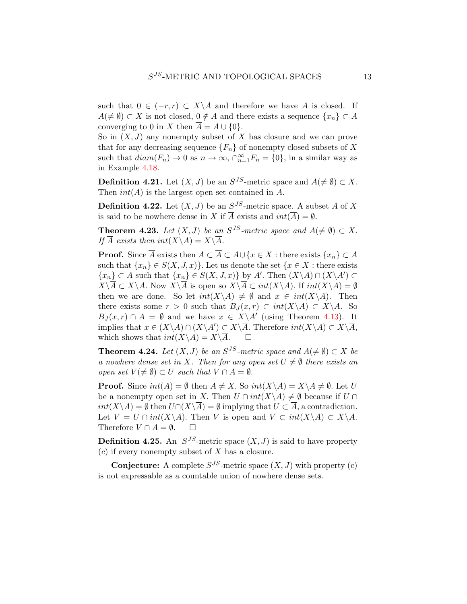such that  $0 \in (-r, r) \subset X \backslash A$  and therefore we have A is closed. If  $A(\neq \emptyset) \subset X$  is not closed,  $0 \notin A$  and there exists a sequence  $\{x_n\} \subset A$ converging to 0 in X then  $\overline{A} = A \cup \{0\}.$ 

So in  $(X, J)$  any nonempty subset of X has closure and we can prove that for any decreasing sequence  ${F_n}$  of nonempty closed subsets of X such that  $diam(F_n) \to 0$  as  $n \to \infty$ ,  $\bigcap_{n=1}^{\infty} F_n = \{0\}$ , in a similar way as in Example [4.18.](#page-10-3)

**Definition 4.21.** Let  $(X, J)$  be an  $S^{JS}$ -metric space and  $A(\neq \emptyset) \subset X$ . Then  $int(A)$  is the largest open set contained in A.

**Definition 4.22.** Let  $(X, J)$  be an  $S^{JS}$ -metric space. A subset A of X is said to be nowhere dense in X if  $\overline{A}$  exists and  $int(\overline{A}) = \emptyset$ .

**Theorem 4.23.** Let  $(X, J)$  be an  $S^{JS}$ -metric space and  $A(\neq \emptyset) \subset X$ . If  $\overline{A}$  exists then  $int(X\backslash A)=X\backslash\overline{A}$ .

**Proof.** Since  $\overline{A}$  exists then  $A \subset \overline{A} \subset A \cup \{x \in X : \text{there exists } \{x_n\} \subset A$ such that  $\{x_n\} \in S(X, J, x)$ . Let us denote the set  $\{x \in X : \text{there exists}\}$  $\{x_n\} \subset A$  such that  $\{x_n\} \in S(X, J, x)$  by A'. Then  $(X \setminus A) \cap (X \setminus A') \subset A$  $X\setminus\overline{A}\subset X\setminus A$ . Now  $X\setminus\overline{A}$  is open so  $X\setminus\overline{A}\subset int(X\setminus A)$ . If  $int(X\setminus A)=\emptyset$ then we are done. So let  $int(X \backslash A) \neq \emptyset$  and  $x \in int(X \backslash A)$ . Then there exists some  $r > 0$  such that  $B_J(x,r) \subset int(X \backslash A) \subset X \backslash A$ . So  $B_J(x,r) \cap A = \emptyset$  and we have  $x \in X \backslash A'$  (using Theorem [4.13\)](#page-9-2). It implies that  $x \in (X \backslash A) \cap (X \backslash A') \subset X \backslash \overline{A}$ . Therefore  $int(X \backslash A) \subset X \backslash \overline{A}$ , which shows that  $int(X \backslash A) = X \backslash \overline{A}$ .  $\square$ 

**Theorem 4.24.** Let  $(X, J)$  be an  $S^{JS}$ -metric space and  $A(\neq \emptyset) \subset X$  be a nowhere dense set in X. Then for any open set  $U \neq \emptyset$  there exists an open set  $V(\neq \emptyset) \subset U$  such that  $V \cap A = \emptyset$ .

**Proof.** Since  $int(\overline{A}) = \emptyset$  then  $\overline{A} \neq X$ . So  $int(X \setminus A) = X \setminus \overline{A} \neq \emptyset$ . Let U be a nonempty open set in X. Then  $U \cap int(X \backslash A) \neq \emptyset$  because if  $U \cap$  $int(X\setminus A) = \emptyset$  then  $U\cap (X\setminus\overline{A}) = \emptyset$  implying that  $U \subset \overline{A}$ , a contradiction. Let  $V = U \cap int(X \backslash A)$ . Then V is open and  $V \subset int(X \backslash A) \subset X \backslash A$ . Therefore  $V \cap A = \emptyset$ .  $\Box$ 

**Definition 4.25.** An  $S^{JS}$ -metric space  $(X, J)$  is said to have property  $(c)$  if every nonempty subset of X has a closure.

**Conjecture:** A complete  $S^{JS}$ -metric space  $(X, J)$  with property (c) is not expressable as a countable union of nowhere dense sets.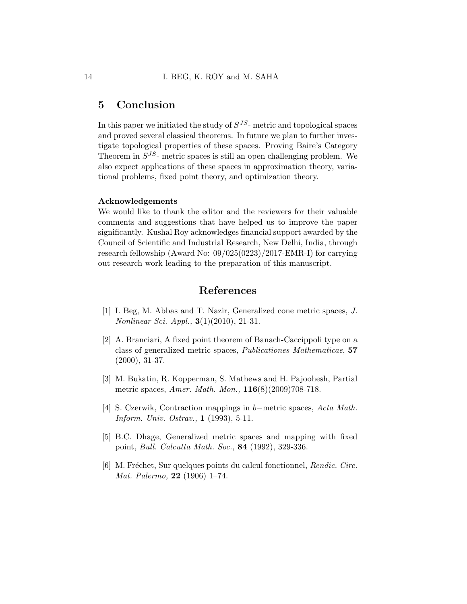## 5 Conclusion

In this paper we initiated the study of  $S^{JS}$ - metric and topological spaces and proved several classical theorems. In future we plan to further investigate topological properties of these spaces. Proving Baire's Category Theorem in  $S^{JS}$ - metric spaces is still an open challenging problem. We also expect applications of these spaces in approximation theory, variational problems, fixed point theory, and optimization theory.

### Acknowledgements

We would like to thank the editor and the reviewers for their valuable comments and suggestions that have helped us to improve the paper significantly. Kushal Roy acknowledges financial support awarded by the Council of Scientific and Industrial Research, New Delhi, India, through research fellowship (Award No: 09/025(0223)/2017-EMR-I) for carrying out research work leading to the preparation of this manuscript.

## References

- <span id="page-13-5"></span>[1] I. Beg, M. Abbas and T. Nazir, Generalized cone metric spaces, J. Nonlinear Sci. Appl., 3(1)(2010), 21-31.
- <span id="page-13-3"></span>[2] A. Branciari, A fixed point theorem of Banach-Caccippoli type on a class of generalized metric spaces, Publicationes Mathematicae, 57 (2000), 31-37.
- <span id="page-13-1"></span>[3] M. Bukatin, R. Kopperman, S. Mathews and H. Pajoohesh, Partial metric spaces, Amer. Math. Mon., 116(8)(2009)708-718.
- <span id="page-13-2"></span>[4] S. Czerwik, Contraction mappings in b−metric spaces, Acta Math. Inform. Univ. Ostrav., 1 (1993), 5-11.
- <span id="page-13-4"></span>[5] B.C. Dhage, Generalized metric spaces and mapping with fixed point, Bull. Calcutta Math. Soc., 84 (1992), 329-336.
- <span id="page-13-0"></span>[6] M. Fréchet, Sur quelques points du calcul fonctionnel, Rendic. Circ. Mat. Palermo, 22 (1906) 1–74.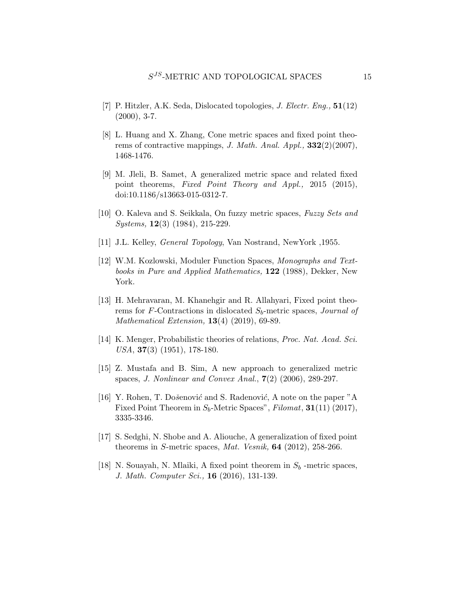- <span id="page-14-2"></span>[7] P. Hitzler, A.K. Seda, Dislocated topologies, *J. Electr. Eng.*,  $51(12)$  $(2000), 3-7.$
- <span id="page-14-5"></span>[8] L. Huang and X. Zhang, Cone metric spaces and fixed point theorems of contractive mappings, J. Math. Anal. Appl.,  $332(2)(2007)$ , 1468-1476.
- <span id="page-14-11"></span>[9] M. Jleli, B. Samet, A generalized metric space and related fixed point theorems, Fixed Point Theory and Appl., 2015 (2015), doi:10.1186/s13663-015-0312-7.
- <span id="page-14-4"></span>[10] O. Kaleva and S. Seikkala, On fuzzy metric spaces, Fuzzy Sets and Systems, 12(3) (1984), 215-229.
- <span id="page-14-0"></span>[11] J.L. Kelley, General Topology, Van Nostrand, NewYork ,1955.
- <span id="page-14-3"></span>[12] W.M. Kozlowski, Moduler Function Spaces, Monographs and Textbooks in Pure and Applied Mathematics, 122 (1988), Dekker, New York.
- <span id="page-14-10"></span>[13] H. Mehravaran, M. Khanehgir and R. Allahyari, Fixed point theorems for F-Contractions in dislocated  $S_b$ -metric spaces, *Journal of* Mathematical Extension, 13(4) (2019), 69-89.
- <span id="page-14-1"></span>[14] K. Menger, Probabilistic theories of relations, *Proc. Nat. Acad. Sci.* USA, 37(3) (1951), 178-180.
- <span id="page-14-6"></span>[15] Z. Mustafa and B. Sim, A new approach to generalized metric spaces, J. Nonlinear and Convex Anal., 7(2) (2006), 289-297.
- <span id="page-14-9"></span>[16] Y. Rohen, T. Došenović and S. Radenović, A note on the paper "A Fixed Point Theorem in  $S_b$ -Metric Spaces", Filomat, 31(11) (2017), 3335-3346.
- <span id="page-14-7"></span>[17] S. Sedghi, N. Shobe and A. Aliouche, A generalization of fixed point theorems in S-metric spaces, Mat. Vesnik,  $64$  (2012), 258-266.
- <span id="page-14-8"></span>[18] N. Souayah, N. Mlaiki, A fixed point theorem in  $S_b$  -metric spaces, J. Math. Computer Sci., 16 (2016), 131-139.